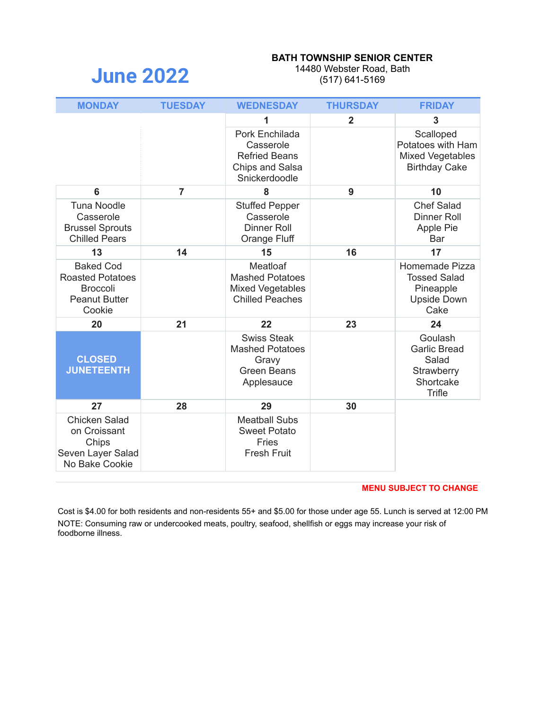# **June 2022**

#### **BATH TOWNSHIP SENIOR CENTER**

14480 Webster Road, Bath (517) 641-5169

| <b>MONDAY</b>                                                                                    | <b>TUESDAY</b> | <b>WEDNESDAY</b>                                                                               | <b>THURSDAY</b> | <b>FRIDAY</b>                                                                       |
|--------------------------------------------------------------------------------------------------|----------------|------------------------------------------------------------------------------------------------|-----------------|-------------------------------------------------------------------------------------|
|                                                                                                  |                | 1                                                                                              | $\mathbf{2}$    | 3                                                                                   |
|                                                                                                  |                | Pork Enchilada<br>Casserole<br><b>Refried Beans</b><br><b>Chips and Salsa</b><br>Snickerdoodle |                 | Scalloped<br>Potatoes with Ham<br><b>Mixed Vegetables</b><br><b>Birthday Cake</b>   |
| 6                                                                                                | $\overline{7}$ | 8                                                                                              | 9               | 10                                                                                  |
| <b>Tuna Noodle</b><br>Casserole<br><b>Brussel Sprouts</b><br><b>Chilled Pears</b>                |                | <b>Stuffed Pepper</b><br>Casserole<br><b>Dinner Roll</b><br>Orange Fluff                       |                 | <b>Chef Salad</b><br><b>Dinner Roll</b><br>Apple Pie<br>Bar                         |
| 13                                                                                               | 14             | 15                                                                                             | 16              | 17                                                                                  |
| <b>Baked Cod</b><br><b>Roasted Potatoes</b><br><b>Broccoli</b><br><b>Peanut Butter</b><br>Cookie |                | Meatloaf<br><b>Mashed Potatoes</b><br><b>Mixed Vegetables</b><br><b>Chilled Peaches</b>        |                 | Homemade Pizza<br><b>Tossed Salad</b><br>Pineapple<br><b>Upside Down</b><br>Cake    |
| 20                                                                                               | 21             | 22                                                                                             | 23              | 24                                                                                  |
| <b>CLOSED</b><br><b>JUNETEENTH</b>                                                               |                | <b>Swiss Steak</b><br><b>Mashed Potatoes</b><br>Gravy<br><b>Green Beans</b><br>Applesauce      |                 | Goulash<br><b>Garlic Bread</b><br>Salad<br>Strawberry<br>Shortcake<br><b>Trifle</b> |
| 27                                                                                               | 28             | 29                                                                                             | 30              |                                                                                     |
| <b>Chicken Salad</b><br>on Croissant<br>Chips<br>Seven Layer Salad<br>No Bake Cookie             |                | <b>Meatball Subs</b><br><b>Sweet Potato</b><br>Fries<br><b>Fresh Fruit</b>                     |                 |                                                                                     |

#### **MENU SUBJECT TO CHANGE**

Cost is \$4.00 for both residents and non-residents 55+ and \$5.00 for those under age 55. Lunch is served at 12:00 PM NOTE: Consuming raw or undercooked meats, poultry, seafood, shellfish or eggs may increase your risk of foodborne illness.